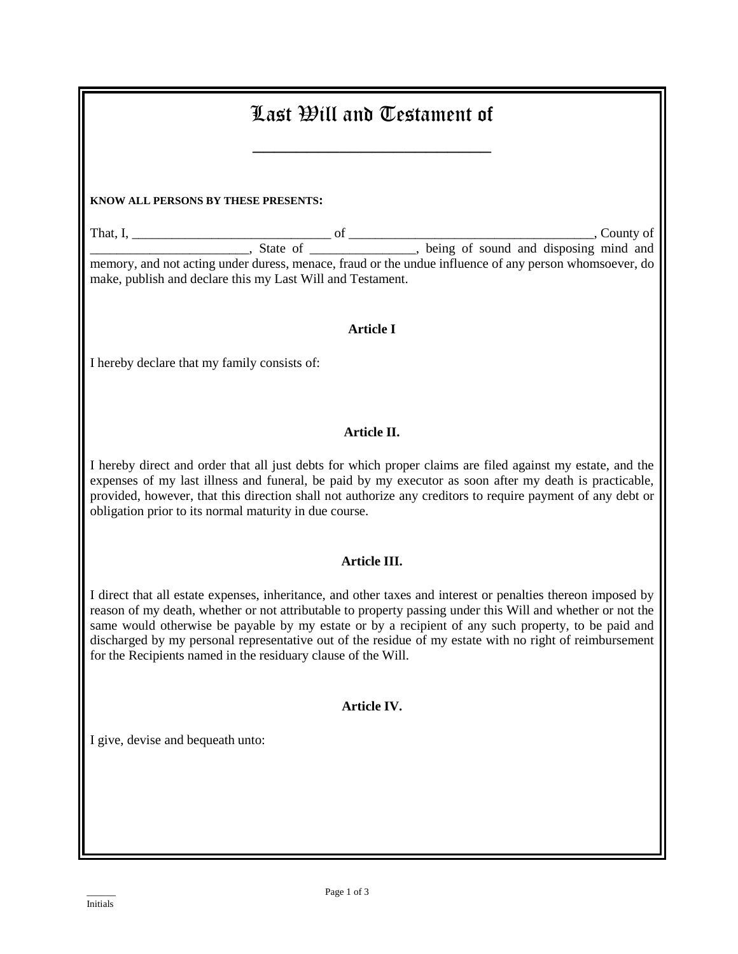| Last Will and Testament of                                                                                                                                                                                                                                                                                                                                                                                                                                                                                    |  |  |  |
|---------------------------------------------------------------------------------------------------------------------------------------------------------------------------------------------------------------------------------------------------------------------------------------------------------------------------------------------------------------------------------------------------------------------------------------------------------------------------------------------------------------|--|--|--|
| KNOW ALL PERSONS BY THESE PRESENTS:                                                                                                                                                                                                                                                                                                                                                                                                                                                                           |  |  |  |
| make, publish and declare this my Last Will and Testament.                                                                                                                                                                                                                                                                                                                                                                                                                                                    |  |  |  |
| <b>Article I</b><br>I hereby declare that my family consists of:                                                                                                                                                                                                                                                                                                                                                                                                                                              |  |  |  |
| Article II.                                                                                                                                                                                                                                                                                                                                                                                                                                                                                                   |  |  |  |
| I hereby direct and order that all just debts for which proper claims are filed against my estate, and the<br>expenses of my last illness and funeral, be paid by my executor as soon after my death is practicable,<br>provided, however, that this direction shall not authorize any creditors to require payment of any debt or<br>obligation prior to its normal maturity in due course.                                                                                                                  |  |  |  |
| Article III.                                                                                                                                                                                                                                                                                                                                                                                                                                                                                                  |  |  |  |
| I direct that all estate expenses, inheritance, and other taxes and interest or penalties thereon imposed by<br>reason of my death, whether or not attributable to property passing under this Will and whether or not the<br>same would otherwise be payable by my estate or by a recipient of any such property, to be paid and<br>discharged by my personal representative out of the residue of my estate with no right of reimbursement<br>for the Recipients named in the residuary clause of the Will. |  |  |  |
| Article IV.                                                                                                                                                                                                                                                                                                                                                                                                                                                                                                   |  |  |  |
| I give, devise and bequeath unto:                                                                                                                                                                                                                                                                                                                                                                                                                                                                             |  |  |  |
|                                                                                                                                                                                                                                                                                                                                                                                                                                                                                                               |  |  |  |
|                                                                                                                                                                                                                                                                                                                                                                                                                                                                                                               |  |  |  |
|                                                                                                                                                                                                                                                                                                                                                                                                                                                                                                               |  |  |  |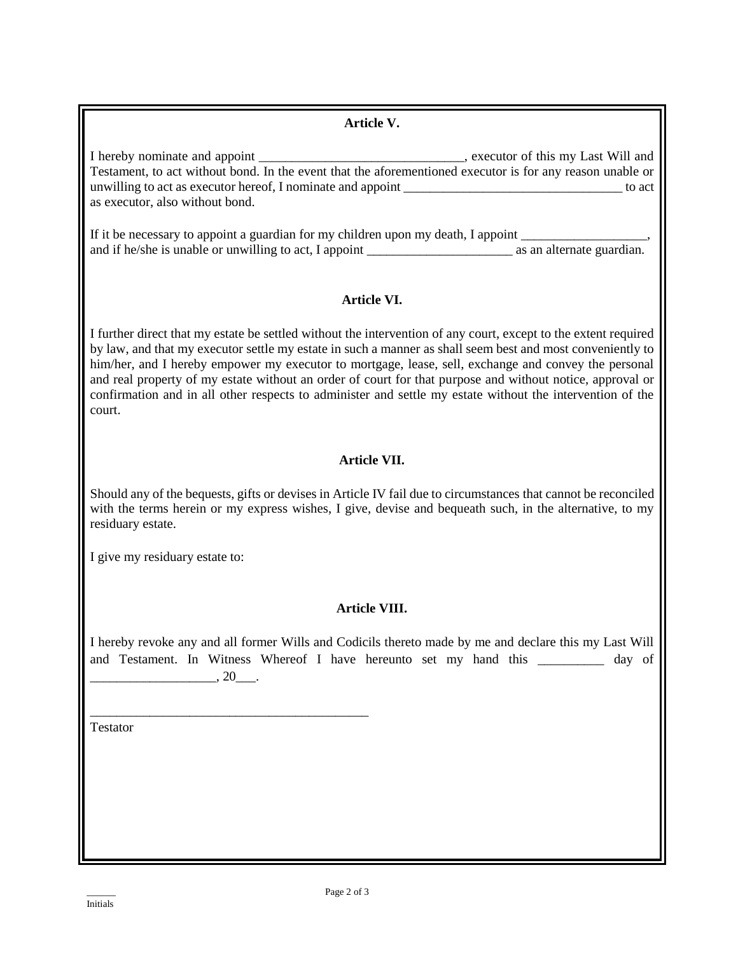| Article V.                                                                                                                                                                                                                                                                                                                                                                                                                                                                                                                                                                |
|---------------------------------------------------------------------------------------------------------------------------------------------------------------------------------------------------------------------------------------------------------------------------------------------------------------------------------------------------------------------------------------------------------------------------------------------------------------------------------------------------------------------------------------------------------------------------|
| as executor, also without bond.                                                                                                                                                                                                                                                                                                                                                                                                                                                                                                                                           |
| If it be necessary to appoint a guardian for my children upon my death, I appoint __________________,                                                                                                                                                                                                                                                                                                                                                                                                                                                                     |
| <b>Article VI.</b>                                                                                                                                                                                                                                                                                                                                                                                                                                                                                                                                                        |
| I further direct that my estate be settled without the intervention of any court, except to the extent required<br>by law, and that my executor settle my estate in such a manner as shall seem best and most conveniently to<br>him/her, and I hereby empower my executor to mortgage, lease, sell, exchange and convey the personal<br>and real property of my estate without an order of court for that purpose and without notice, approval or<br>confirmation and in all other respects to administer and settle my estate without the intervention of the<br>court. |
| Article VII.                                                                                                                                                                                                                                                                                                                                                                                                                                                                                                                                                              |
| Should any of the bequests, gifts or devises in Article IV fail due to circumstances that cannot be reconciled<br>with the terms herein or my express wishes, I give, devise and bequeath such, in the alternative, to my<br>residuary estate.                                                                                                                                                                                                                                                                                                                            |
| I give my residuary estate to:                                                                                                                                                                                                                                                                                                                                                                                                                                                                                                                                            |
| Article VIII.                                                                                                                                                                                                                                                                                                                                                                                                                                                                                                                                                             |
| I hereby revoke any and all former Wills and Codicils thereto made by me and declare this my Last Will<br>and Testament. In Witness Whereof I have hereunto set my hand this ___________ day of<br>$\overbrace{\phantom{aaaaa}}^{20}$ .                                                                                                                                                                                                                                                                                                                                   |
| Testator                                                                                                                                                                                                                                                                                                                                                                                                                                                                                                                                                                  |
|                                                                                                                                                                                                                                                                                                                                                                                                                                                                                                                                                                           |
|                                                                                                                                                                                                                                                                                                                                                                                                                                                                                                                                                                           |
|                                                                                                                                                                                                                                                                                                                                                                                                                                                                                                                                                                           |